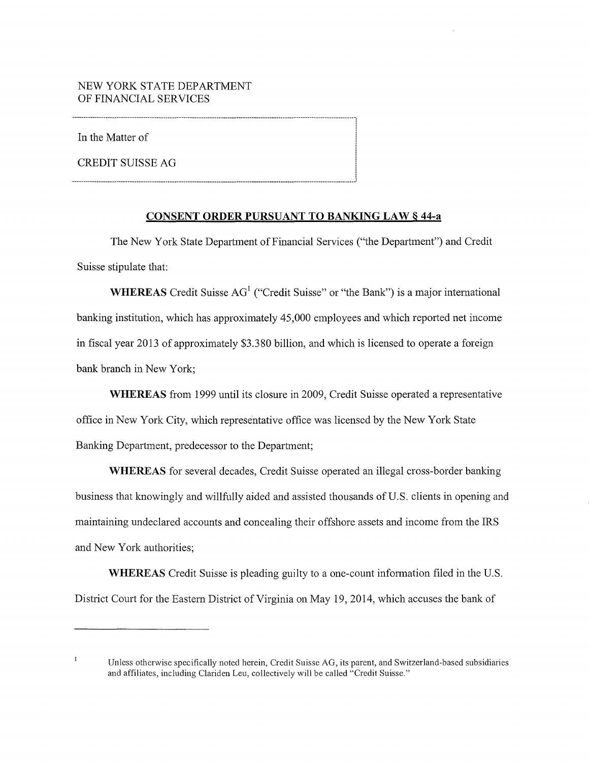In the Matter of

**CREDIT SUISSE AG** 

# **CONSENT ORDER PURSUANT TO BANKING LAW§ 44-a**

The New York State Department of Financial Services ("the Department") and Credit Suisse stipulate that:

**WHEREAS** Credit Suisse  $AG<sup>1</sup>$  ("Credit Suisse" or "the Bank") is a major international banking institution, which has approximately 45,000 employees and which reported net income in fiscal year 2013 of approximately \$3.380 billion, and which is licensed to operate a foreign bank branch in New York;

**WHEREAS** from 1999 until its closure in 2009, Credit Suisse operated a representative office in New York City, which representative office was licensed by the New York State Banking Department, predecessor to the Department;

**WHEREAS** for several decades, Credit Suisse operated an illegal cross-border banking business that knowingly and willfully aided and assisted thousands of U.S. clients in opening and maintaining undeclared accounts and concealing their offshore assets and income from the IRS and New York authorities;

**WHEREAS** Credit Suisse is pleading guilty to a one-count infonnation filed in the U.S. District Court for the Eastern District of Virginia on May 19, 2014, which accuses the bank of

 $\mathbf{I}$ Unless otherwise specifically noted herein, Credit Suisse AG, its parent, and Switzerland-based subsidiaries and affiliates, including Clariden Leu, collectively will be called "Credit Suisse."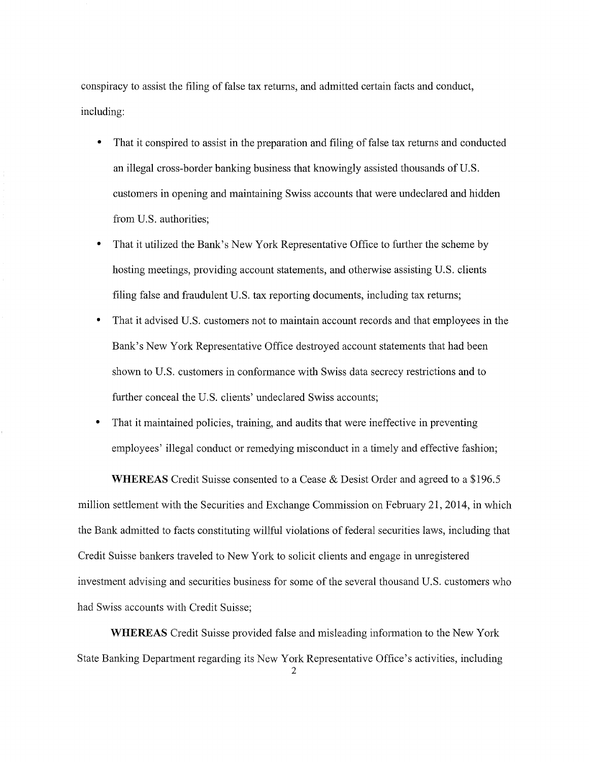conspiracy to assist the filing of false tax returns, and admitted certain facts and conduct, including:

- That it conspired to assist in the preparation and filing of false tax returns and conducted an illegal cross-border banking business that knowingly assisted thousands of U.S. customers in opening and maintaining Swiss accounts that were undeclared and hidden from U.S. authorities;
- That it utilized the Bank's New York Representative Office to further the scheme by hosting meetings, providing account statements, and otherwise assisting U.S. clients filing false and fraudulent U.S. tax reporting documents, including tax returns;
- That it advised U.S. customers not to maintain account records and that employees in the Bank's New York Representative Office destroyed account statements that had been shown to U.S. customers in conformance with Swiss data secrecy restrictions and to further conceal the U.S. clients' undeclared Swiss accounts;
- That it maintained policies, training, and audits that were ineffective in preventing employees' illegal conduct or remedying misconduct in a timely and effective fashion;

**WHEREAS** Credit Suisse consented to a Cease & Desist Order and agreed to a \$196.5 million settlement with the Securities and Exchange Commission on February 21, 2014, in which the Bank admitted to facts constituting willful violations of federal securities laws, including that Credit Suisse bankers traveled to New York to solicit clients and engage in unregistered investment advising and securities business for some of the several thousand U.S. customers who had Swiss accounts with Credit Suisse;

**WHEREAS** Credit Suisse provided false and misleading information to the New York State Banking Department regarding its New York Representative Office's activities, including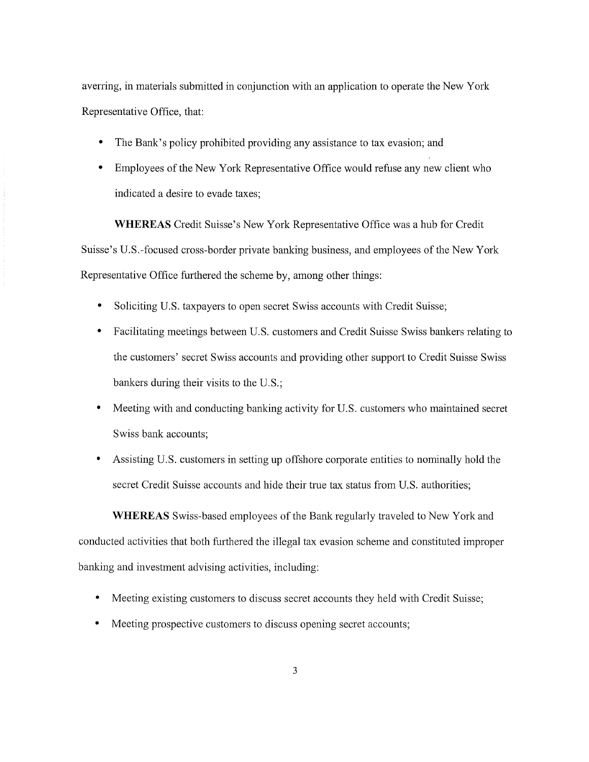averring, in materials submitted in conjunction with an application to operate the New York Representative Office, that:

- The Bank's policy prohibited providing any assistance to tax evasion; and
- Employees of the New York Representative Office would refuse any new client who indicated a desire to evade taxes;

**WHEREAS** Credit Suisse's New York Representative Office was a hub for Credit Suisse's U.S.-focused cross-border private banking business, and employees of the New York Representative Office furthered the scheme by, among other things:

- Soliciting U.S. taxpayers to open secret Swiss accounts with Credit Suisse;
- Facilitating meetings between U.S. customers and Credit Suisse Swiss bankers relating to the customers' secret Swiss accounts and providing other support to Credit Suisse Swiss bankers during their visits to the U.S.;
- Meeting with and conducting banking activity for U.S. customers who maintained secret Swiss bank accounts;
- Assisting U.S. customers in setting up offshore corporate entities to nominally hold the secret Credit Suisse accounts and hide their true tax status from U.S. authorities;

**WHEREAS** Swiss-based employees of the Bank regularly traveled to New York and conducted activities that both furthered the illegal tax evasion scheme and constituted improper banking and investment advising activities, including:

- Meeting existing customers to discuss secret accounts they held with Credit Suisse;
- Meeting prospective customers to discuss opening secret accounts;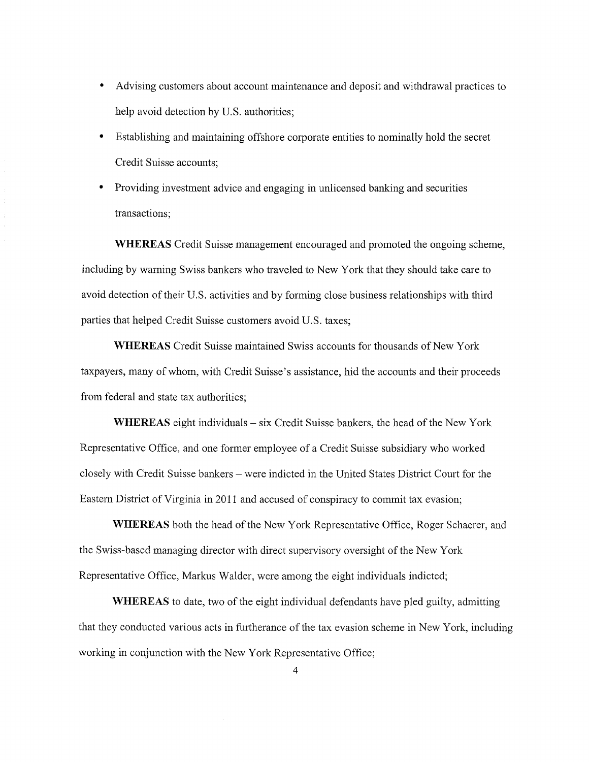- Advising customers about account maintenance and deposit and withdrawal practices to help avoid detection by U.S. authorities;
- Establishing and maintaining offshore corporate entities to nominally hold the secret Credit Suisse accounts;
- Providing investment advice and engaging in unlicensed banking and securities transactions;

**WHEREAS** Credit Suisse management encouraged and promoted the ongoing scheme, including by warning Swiss bankers who traveled to New York that they should take care to avoid detection of their U.S. activities and by forming close business relationships with third parties that helped Credit Suisse customers avoid U.S. taxes;

**WHEREAS** Credit Suisse maintained Swiss accounts for thousands of New York taxpayers, many of whom, with Credit Suisse's assistance, hid the accounts and their proceeds from federal and state tax authorities;

**WHEREAS** eight individuals – six Credit Suisse bankers, the head of the New York Representative Office, and one former employee of a Credit Suisse subsidiary who worked closely with Credit Suisse bankers -were indicted in the United States District Court for the Eastern District of Virginia in 2011 and accused of conspiracy to commit tax evasion;

**WHEREAS** both the head of the New York Representative Office, Roger Schaerer, and the Swiss-based managing director with direct supervisory oversight of the New York Representative Office, Markus Walder, were among the eight individuals indicted;

**WHEREAS** to date, two of the eight individual defendants have pled guilty, admitting that they conducted various acts in furtherance of the tax evasion scheme in New York, including working in conjunction with the New York Representative Office;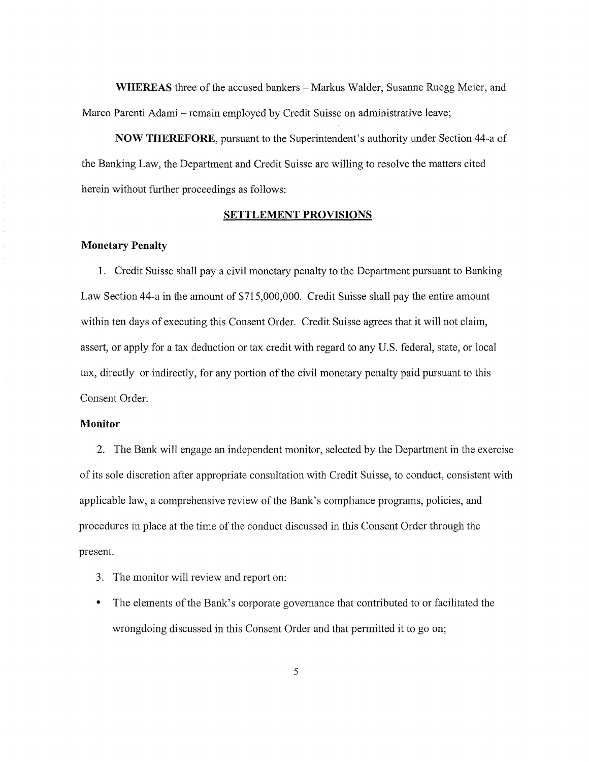**WHEREAS** three of the accused bankers- Markus Walder, Susanne Ruegg Meier, and Marco Parenti Adami – remain employed by Credit Suisse on administrative leave;

**NOW THEREFORE,** pursuant to the Superintendent's authority under Section 44-a of the Banking Law, the Department and Credit Suisse are willing to resolve the matters cited herein without further proceedings as follows:

#### **SETTLEMENT PROVISIONS**

## **Monetary Penalty**

1. Credit Suisse shall pay a civil monetary penalty to the Department pursuant to Banking Law Section 44-a in the amount of \$715,000,000. Credit Suisse shall pay the entire amount within ten days of executing this Consent Order. Credit Suisse agrees that it will not claim, assert, or apply for a tax deduction or tax credit with regard to any U.S. federal, state, or local tax, directly or indirectly, for any portion of the civil monetary penalty paid pursuant to this Consent Order.

## **Monitor**

2. The Bank will engage an independent monitor, selected by the Department in the exercise of its sole discretion after appropriate consultation with Credit Suisse, to conduct, consistent with applicable law, a comprehensive review of the Bank's compliance programs, policies, and procedures in place at the time of the conduct discussed in this Consent Order through the present.

- 3. The monitor will review and report on:
- The elements of the Bank's corporate governance that contributed to or facilitated the wrongdoing discussed in this Consent Order and that permitted it to go on;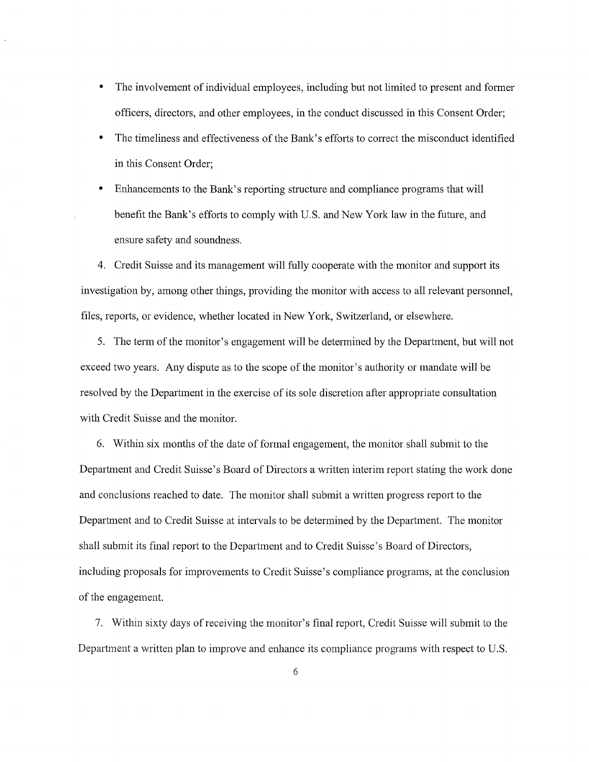- The involvement of individual employees, including but not limited to present and former officers, directors, and other employees, in the conduct discussed in this Consent Order;
- The timeliness and effectiveness of the Bank's efforts to correct the misconduct identified in this Consent Order;
- Enhancements to the Bank's reporting structure and compliance programs that will benefit the Bank's efforts to comply with U.S. and New York law in the future, and ensure safety and soundness.

4. Credit Suisse and its management will fully cooperate with the monitor and support its investigation by, among other things, providing the monitor with access to all relevant personnel, files, reports, or evidence, whether located in New York, Switzerland, or elsewhere.

5. The term of the monitor's engagement will be determined by the Department, but will not exceed two years. Any dispute as to the scope of the monitor's authority or mandate will be resolved by the Department in the exercise of its sole discretion after appropriate consultation with Credit Suisse and the monitor.

6. Within six months of the date of formal engagement, the monitor shall submit to the Department and Credit Suisse's Board of Directors a written interim report stating the work done and conclusions reached to date. The monitor shall submit a written progress report to the Department and to Credit Suisse at intervals to be determined by the Department. The monitor shall submit its final report to the Department and to Credit Suisse's Board of Directors, including proposals for improvements to Credit Suisse's compliance programs, at the conclusion of the engagement.

7. Within sixty days of receiving the monitor's final report, Credit Suisse will submit to the Department a written plan to improve and enhance its compliance programs with respect to U.S.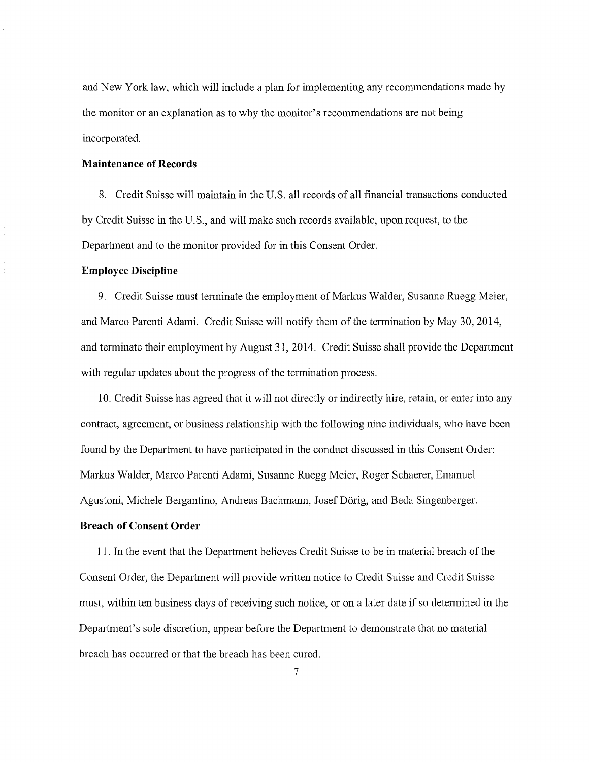and New York law, which will include a plan for implementing any recommendations made by the monitor or an explanation as to why the monitor's recommendations are not being incorporated.

#### **Maintenance of Records**

8. Credit Suisse will maintain in the U.S. all records of all financial transactions conducted by Credit Suisse in the U.S., and will make such records available, upon request, to the Department and to the monitor provided for in this Consent Order.

## **Employee Discipline**

9. Credit Suisse must terminate the employment of Markus Walder, Susanne Ruegg Meier, and Marco Parenti Adami. Credit Suisse will notify them of the termination by May 30, 2014, and terminate their employment by August 31, 2014. Credit Suisse shall provide the Department with regular updates about the progress of the termination process.

10. Credit Suisse has agreed that it will not directly or indirectly hire, retain, or enter into any contract, agreement, or business relationship with the following nine individuals, who have been found by the Department to have participated in the conduct discussed in this Consent Order: Markus Walder, Marco Parenti Adami, Susanne Ruegg Meier, Roger Schaerer, Emanuel Agustoni, Michele Bergantino, Andreas Bachmann, Josef Dörig, and Beda Singenberger.

## **Breach of Consent Order**

11. In the event that the Department believes Credit Suisse to be in material breach of the Consent Order, the Department will provide written notice to Credit Suisse and Credit Suisse must, within ten business days of receiving such notice, or on a later date if so determined in the Department's sole discretion, appear before the Department to demonstrate that no material breach has occurred or that the breach has been cured.

7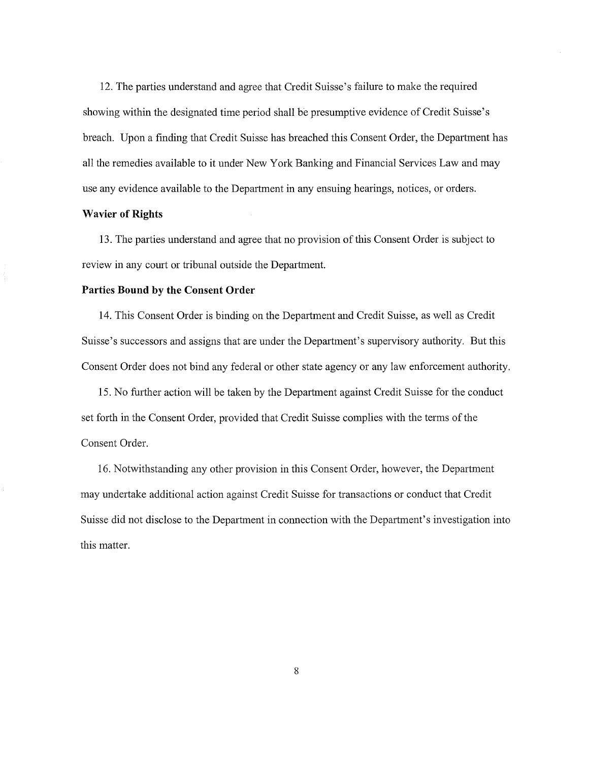12. The parties understand and agree that Credit Suisse's failure to make the required showing within the designated time period shall be presumptive evidence of Credit Suisse's breach. Upon a finding that Credit Suisse has breached this Consent Order, the Department has all the remedies available to it under New York Banking and Financial Services Law and may use any evidence available to the Department in any ensuing hearings, notices, or orders.

## **Wavier of Rights**

13. The parties understand and agree that no provision of this Consent Order is subject to review in any court or tribunal outside the Department.

#### **Parties Bound by the Consent Order**

14. This Consent Order is binding on the Department and Credit Suisse, as well as Credit Suisse's successors and assigns that are under the Department's supervisory authority. But this Consent Order does not bind any federal or other state agency or any law enforcement authority.

15. No further action will be taken by the Department against Credit Suisse for the conduct set forth in the Consent Order, provided that Credit Suisse complies with the terms of the Consent Order.

16. Notwithstanding any other provision in this Consent Order, however, the Department may undertake additional action against Credit Suisse for transactions or conduct that Credit Suisse did not disclose to the Department in connection with the Department's investigation into this matter.

8